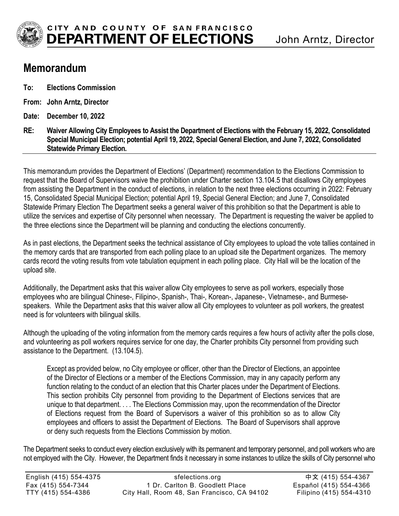

## **Memorandum**

- **To: Elections Commission**
- **From: John Arntz, Director**
- **Date: December 10, 2022**
- **RE: Waiver Allowing City Employees to Assist the Department of Elections with the February 15, 2022, Consolidated Special Municipal Election; potential April 19, 2022, Special General Election, and June 7, 2022, Consolidated Statewide Primary Election.**

This memorandum provides the Department of Elections' (Department) recommendation to the Elections Commission to request that the Board of Supervisors waive the prohibition under Charter section 13.104.5 that disallows City employees from assisting the Department in the conduct of elections, in relation to the next three elections occurring in 2022: February 15, Consolidated Special Municipal Election; potential April 19, Special General Election; and June 7, Consolidated Statewide Primary Election The Department seeks a general waiver of this prohibition so that the Department is able to utilize the services and expertise of City personnel when necessary. The Department is requesting the waiver be applied to the three elections since the Department will be planning and conducting the elections concurrently.

As in past elections, the Department seeks the technical assistance of City employees to upload the vote tallies contained in the memory cards that are transported from each polling place to an upload site the Department organizes. The memory cards record the voting results from vote tabulation equipment in each polling place. City Hall will be the location of the upload site.

Additionally, the Department asks that this waiver allow City employees to serve as poll workers, especially those employees who are bilingual Chinese-, Filipino-, Spanish-, Thai-, Korean-, Japanese-, Vietnamese-, and Burmesespeakers. While the Department asks that this waiver allow all City employees to volunteer as poll workers, the greatest need is for volunteers with bilingual skills.

Although the uploading of the voting information from the memory cards requires a few hours of activity after the polls close, and volunteering as poll workers requires service for one day, the Charter prohibits City personnel from providing such assistance to the Department. (13.104.5).

Except as provided below, no City employee or officer, other than the Director of Elections, an appointee of the Director of Elections or a member of the Elections Commission, may in any capacity perform any function relating to the conduct of an election that this Charter places under the Department of Elections. This section prohibits City personnel from providing to the Department of Elections services that are unique to that department. . . . The Elections Commission may, upon the recommendation of the Director of Elections request from the Board of Supervisors a waiver of this prohibition so as to allow City employees and officers to assist the Department of Elections. The Board of Supervisors shall approve or deny such requests from the Elections Commission by motion.

The Department seeks to conduct every election exclusively with its permanent and temporary personnel, and poll workers who are not employed with the City. However, the Department finds it necessary in some instances to utilize the skills of City personnel who

| English (415) 554-4375 | sfelections.org                             | 中文 (415) 554-4367       |
|------------------------|---------------------------------------------|-------------------------|
| Fax (415) 554-7344     | 1 Dr. Carlton B. Goodlett Place             | Español (415) 554-4366  |
| TTY (415) 554-4386     | City Hall, Room 48, San Francisco, CA 94102 | Filipino (415) 554-4310 |